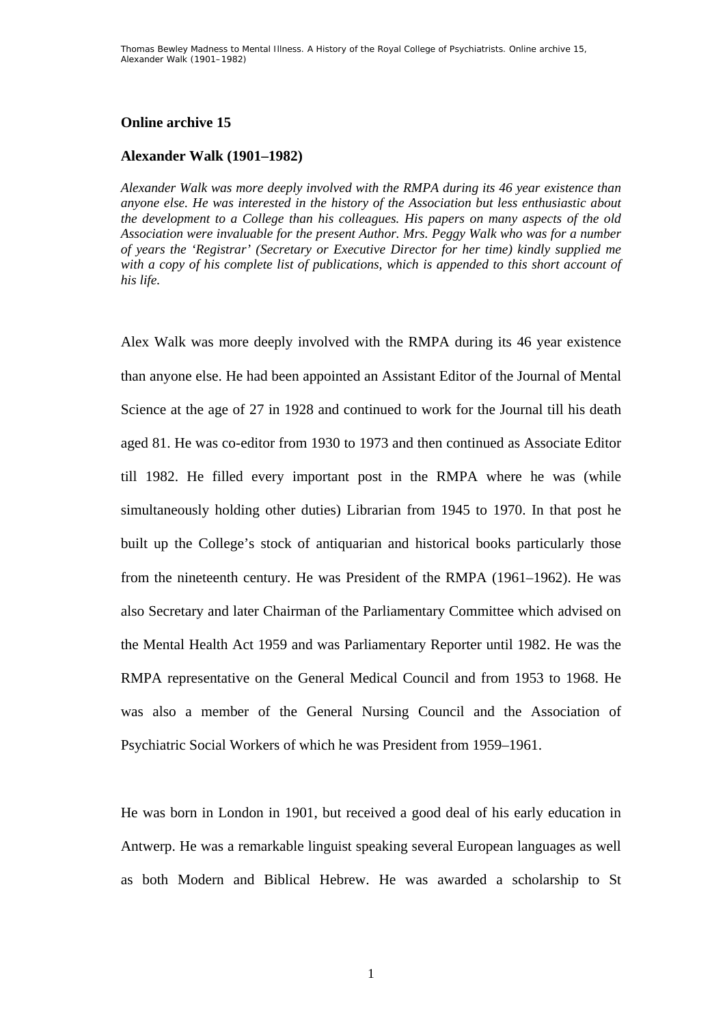# **Online archive 15**

# **Alexander Walk (1901–1982)**

*Alexander Walk was more deeply involved with the RMPA during its 46 year existence than anyone else. He was interested in the history of the Association but less enthusiastic about the development to a College than his colleagues. His papers on many aspects of the old Association were invaluable for the present Author. Mrs. Peggy Walk who was for a number of years the 'Registrar' (Secretary or Executive Director for her time) kindly supplied me with a copy of his complete list of publications, which is appended to this short account of his life.* 

Alex Walk was more deeply involved with the RMPA during its 46 year existence than anyone else. He had been appointed an Assistant Editor of the Journal of Mental Science at the age of 27 in 1928 and continued to work for the Journal till his death aged 81. He was co-editor from 1930 to 1973 and then continued as Associate Editor till 1982. He filled every important post in the RMPA where he was (while simultaneously holding other duties) Librarian from 1945 to 1970. In that post he built up the College's stock of antiquarian and historical books particularly those from the nineteenth century. He was President of the RMPA (1961–1962). He was also Secretary and later Chairman of the Parliamentary Committee which advised on the Mental Health Act 1959 and was Parliamentary Reporter until 1982. He was the RMPA representative on the General Medical Council and from 1953 to 1968. He was also a member of the General Nursing Council and the Association of Psychiatric Social Workers of which he was President from 1959–1961.

He was born in London in 1901, but received a good deal of his early education in Antwerp. He was a remarkable linguist speaking several European languages as well as both Modern and Biblical Hebrew. He was awarded a scholarship to St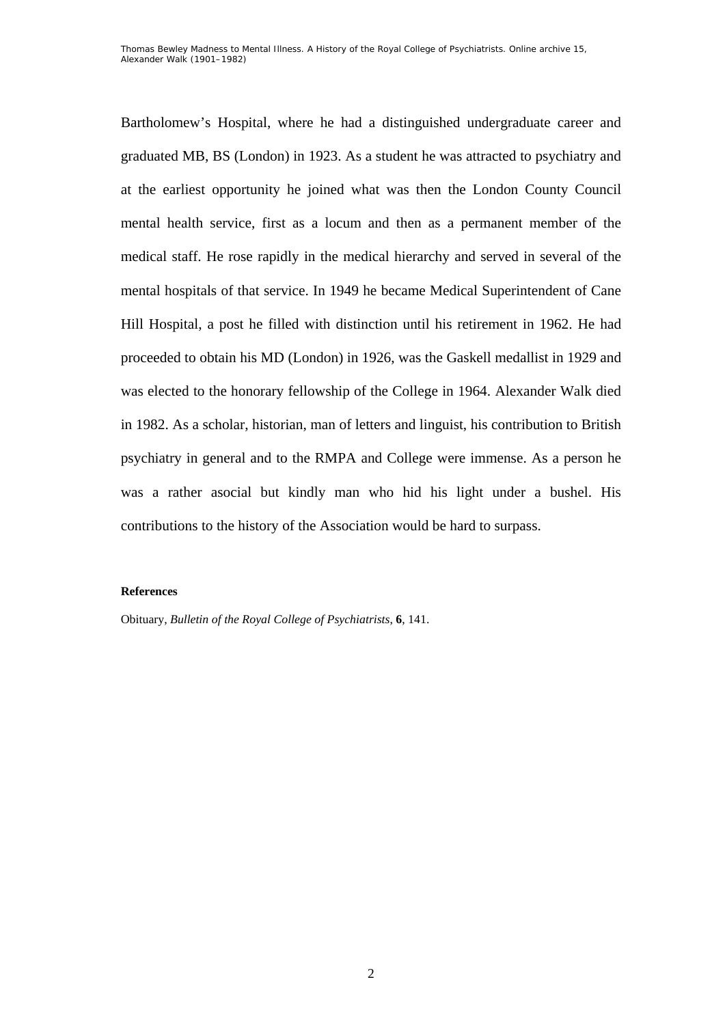Bartholomew's Hospital, where he had a distinguished undergraduate career and graduated MB, BS (London) in 1923. As a student he was attracted to psychiatry and at the earliest opportunity he joined what was then the London County Council mental health service, first as a locum and then as a permanent member of the medical staff. He rose rapidly in the medical hierarchy and served in several of the mental hospitals of that service. In 1949 he became Medical Superintendent of Cane Hill Hospital, a post he filled with distinction until his retirement in 1962. He had proceeded to obtain his MD (London) in 1926, was the Gaskell medallist in 1929 and was elected to the honorary fellowship of the College in 1964. Alexander Walk died in 1982. As a scholar, historian, man of letters and linguist, his contribution to British psychiatry in general and to the RMPA and College were immense. As a person he was a rather asocial but kindly man who hid his light under a bushel. His contributions to the history of the Association would be hard to surpass.

## **References**

Obituary, *Bulletin of the Royal College of Psychiatrists*, **6**, 141.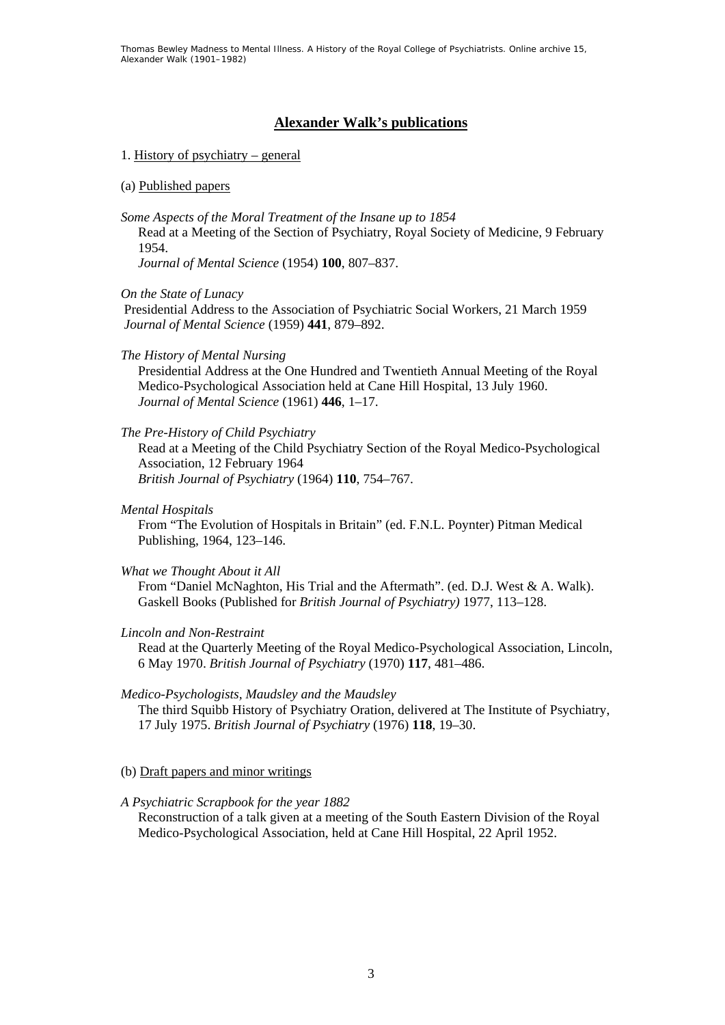Thomas Bewley *Madness to Mental Illness. A History of the Royal College of Psychiatrists*. Online archive 15, *Alexander Walk (1901–1982)*

# **Alexander Walk's publications**

## 1. History of psychiatry – general

## (a) Published papers

*Some Aspects of the Moral Treatment of the Insane up to 1854*

Read at a Meeting of the Section of Psychiatry, Royal Society of Medicine, 9 February 1954.

*Journal of Mental Science* (1954) **100**, 807–837.

*On the State of Lunacy* 

 Presidential Address to the Association of Psychiatric Social Workers, 21 March 1959 *Journal of Mental Science* (1959) **441**, 879–892.

*The History of Mental Nursing* 

Presidential Address at the One Hundred and Twentieth Annual Meeting of the Royal Medico-Psychological Association held at Cane Hill Hospital, 13 July 1960. *Journal of Mental Science* (1961) **446**, 1–17.

## *The Pre-History of Child Psychiatry*

Read at a Meeting of the Child Psychiatry Section of the Royal Medico-Psychological Association, 12 February 1964 *British Journal of Psychiatry* (1964) **110**, 754–767.

*Mental Hospitals* 

From "The Evolution of Hospitals in Britain" (ed. F.N.L. Poynter) Pitman Medical Publishing, 1964, 123–146.

#### *What we Thought About it All*

From "Daniel McNaghton, His Trial and the Aftermath". (ed. D.J. West & A. Walk). Gaskell Books (Published for *British Journal of Psychiatry)* 1977, 113–128.

#### *Lincoln and Non-Restraint*

Read at the Quarterly Meeting of the Royal Medico-Psychological Association, Lincoln, 6 May 1970. *British Journal of Psychiatry* (1970) **117**, 481–486.

#### *Medico-Psychologists, Maudsley and the Maudsley*

The third Squibb History of Psychiatry Oration, delivered at The Institute of Psychiatry, 17 July 1975. *British Journal of Psychiatry* (1976) **118**, 19–30.

(b) Draft papers and minor writings

#### *A Psychiatric Scrapbook for the year 1882*

Reconstruction of a talk given at a meeting of the South Eastern Division of the Royal Medico-Psychological Association, held at Cane Hill Hospital, 22 April 1952.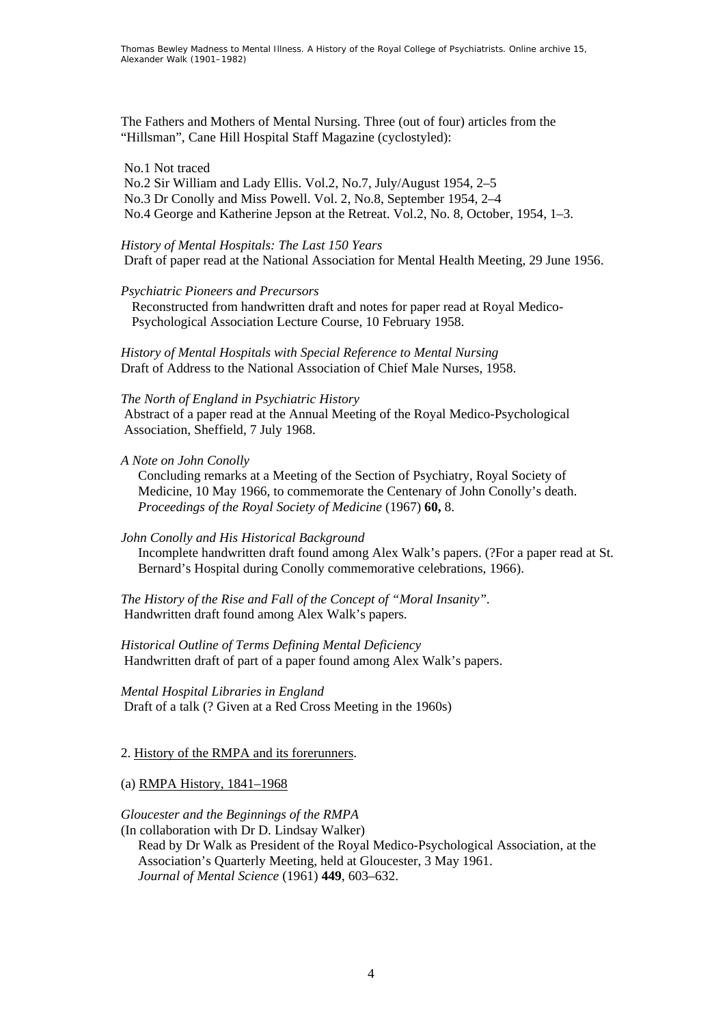The Fathers and Mothers of Mental Nursing. Three (out of four) articles from the "Hillsman", Cane Hill Hospital Staff Magazine (cyclostyled):

## No.1 Not traced

 No.2 Sir William and Lady Ellis. Vol.2, No.7, July/August 1954, 2–5 No.3 Dr Conolly and Miss Powell. Vol. 2, No.8, September 1954, 2–4 No.4 George and Katherine Jepson at the Retreat. Vol.2, No. 8, October, 1954, 1–3.

#### *History of Mental Hospitals: The Last 150 Years*

Draft of paper read at the National Association for Mental Health Meeting, 29 June 1956.

### *Psychiatric Pioneers and Precursors*

Reconstructed from handwritten draft and notes for paper read at Royal Medico-Psychological Association Lecture Course, 10 February 1958.

*History of Mental Hospitals with Special Reference to Mental Nursing*  Draft of Address to the National Association of Chief Male Nurses, 1958.

#### *The North of England in Psychiatric History*

 Abstract of a paper read at the Annual Meeting of the Royal Medico-Psychological Association, Sheffield, 7 July 1968.

### *A Note on John Conolly*

Concluding remarks at a Meeting of the Section of Psychiatry, Royal Society of Medicine, 10 May 1966, to commemorate the Centenary of John Conolly's death. *Proceedings of the Royal Society of Medicine* (1967) **60,** 8.

## *John Conolly and His Historical Background*

Incomplete handwritten draft found among Alex Walk's papers. (?For a paper read at St. Bernard's Hospital during Conolly commemorative celebrations, 1966).

*The History of the Rise and Fall of the Concept of "Moral Insanity".*  Handwritten draft found among Alex Walk's papers.

*Historical Outline of Terms Defining Mental Deficiency*  Handwritten draft of part of a paper found among Alex Walk's papers.

*Mental Hospital Libraries in England*  Draft of a talk (? Given at a Red Cross Meeting in the 1960s)

## 2. History of the RMPA and its forerunners.

(a) RMPA History, 1841–1968

## *Gloucester and the Beginnings of the RMPA*

(In collaboration with Dr D. Lindsay Walker) Read by Dr Walk as President of the Royal Medico-Psychological Association, at the Association's Quarterly Meeting, held at Gloucester, 3 May 1961. *Journal of Mental Science* (1961) **449**, 603–632.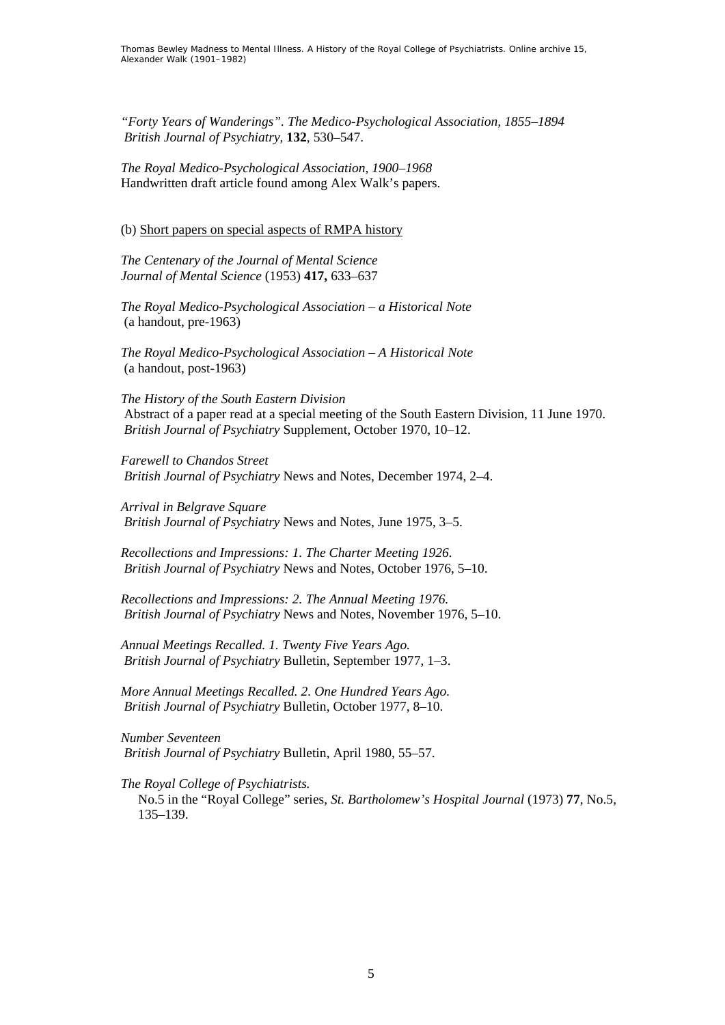*"Forty Years of Wanderings". The Medico-Psychological Association, 1855–1894 British Journal of Psychiatry*, **132**, 530–547.

*The Royal Medico-Psychological Association, 1900–1968*  Handwritten draft article found among Alex Walk's papers.

(b) Short papers on special aspects of RMPA history

*The Centenary of the Journal of Mental Science Journal of Mental Science* (1953) **417,** 633–637

*The Royal Medico-Psychological Association – a Historical Note*  (a handout, pre-1963)

*The Royal Medico-Psychological Association – A Historical Note*  (a handout, post-1963)

*The History of the South Eastern Division*  Abstract of a paper read at a special meeting of the South Eastern Division, 11 June 1970. *British Journal of Psychiatry* Supplement, October 1970, 10–12.

*Farewell to Chandos Street British Journal of Psychiatry* News and Notes, December 1974, 2–4.

*Arrival in Belgrave Square British Journal of Psychiatry* News and Notes, June 1975, 3–5.

*Recollections and Impressions: 1. The Charter Meeting 1926. British Journal of Psychiatry* News and Notes, October 1976, 5–10.

*Recollections and Impressions: 2. The Annual Meeting 1976. British Journal of Psychiatry* News and Notes, November 1976, 5–10.

*Annual Meetings Recalled. 1. Twenty Five Years Ago. British Journal of Psychiatry* Bulletin, September 1977, 1–3.

*More Annual Meetings Recalled. 2. One Hundred Years Ago. British Journal of Psychiatry* Bulletin, October 1977, 8–10.

*Number Seventeen British Journal of Psychiatry* Bulletin, April 1980, 55–57.

*The Royal College of Psychiatrists.* 

No.5 in the "Royal College" series, *St. Bartholomew's Hospital Journal* (1973) **77**, No.5, 135–139.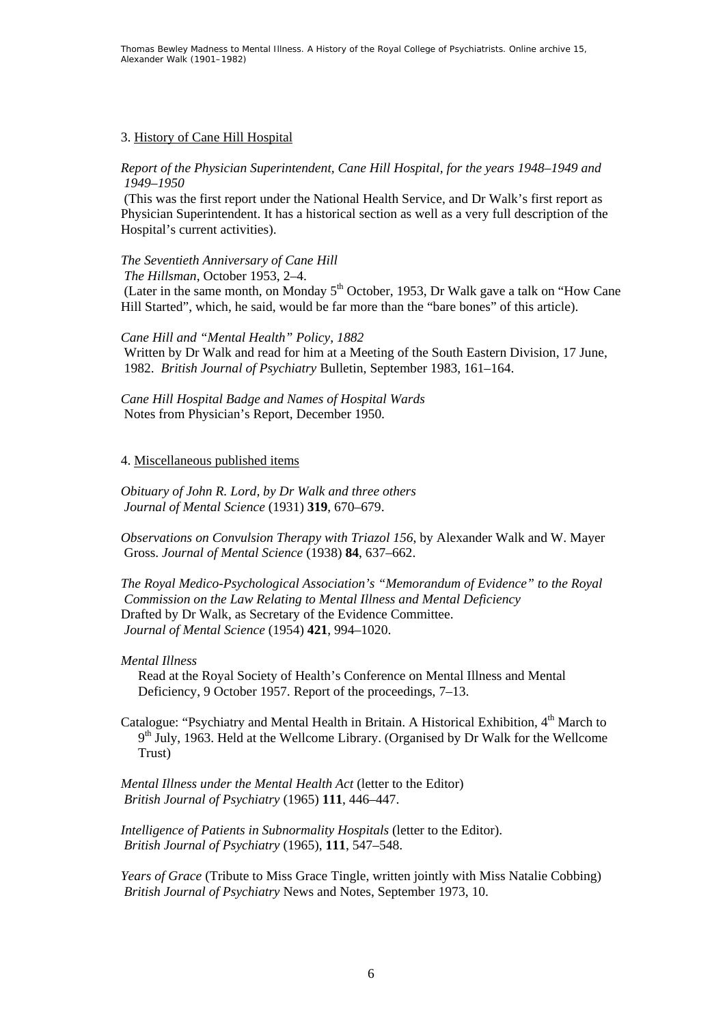# 3. History of Cane Hill Hospital

## *Report of the Physician Superintendent, Cane Hill Hospital, for the years 1948–1949 and 1949–1950*

 (This was the first report under the National Health Service, and Dr Walk's first report as Physician Superintendent. It has a historical section as well as a very full description of the Hospital's current activities).

## *The Seventieth Anniversary of Cane Hill*

*The Hillsman*, October 1953, 2–4.

(Later in the same month, on Monday  $5<sup>th</sup>$  October, 1953, Dr Walk gave a talk on "How Cane" Hill Started", which, he said, would be far more than the "bare bones" of this article).

## *Cane Hill and "Mental Health" Policy, 1882*

 Written by Dr Walk and read for him at a Meeting of the South Eastern Division, 17 June, 1982. *British Journal of Psychiatry* Bulletin, September 1983, 161–164.

*Cane Hill Hospital Badge and Names of Hospital Wards*  Notes from Physician's Report, December 1950.

## 4. Miscellaneous published items

*Obituary of John R. Lord, by Dr Walk and three others Journal of Mental Science* (1931) **319**, 670–679.

*Observations on Convulsion Therapy with Triazol 156*, by Alexander Walk and W. Mayer Gross. *Journal of Mental Science* (1938) **84**, 637–662.

*The Royal Medico-Psychological Association's "Memorandum of Evidence" to the Royal Commission on the Law Relating to Mental Illness and Mental Deficiency* Drafted by Dr Walk, as Secretary of the Evidence Committee. *Journal of Mental Science* (1954) **421**, 994–1020.

## *Mental Illness*

Read at the Royal Society of Health's Conference on Mental Illness and Mental Deficiency, 9 October 1957. Report of the proceedings, 7–13.

Catalogue: "Psychiatry and Mental Health in Britain. A Historical Exhibition, 4<sup>th</sup> March to 9th July, 1963. Held at the Wellcome Library. (Organised by Dr Walk for the Wellcome Trust)

*Mental Illness under the Mental Health Act* (letter to the Editor) *British Journal of Psychiatry* (1965) **111**, 446–447.

*Intelligence of Patients in Subnormality Hospitals* (letter to the Editor). *British Journal of Psychiatry* (1965), **111**, 547–548.

*Years of Grace* (Tribute to Miss Grace Tingle, written jointly with Miss Natalie Cobbing) *British Journal of Psychiatry* News and Notes, September 1973, 10.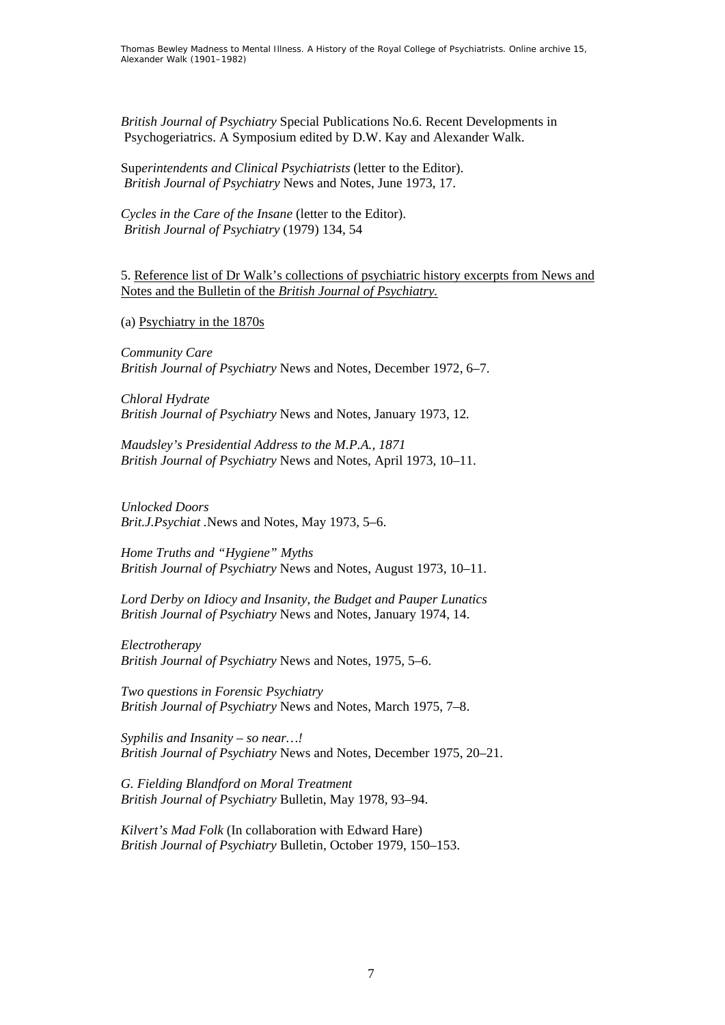*British Journal of Psychiatry* Special Publications No.6. Recent Developments in Psychogeriatrics. A Symposium edited by D.W. Kay and Alexander Walk.

Sup*erintendents and Clinical Psychiatrists* (letter to the Editor). *British Journal of Psychiatry* News and Notes, June 1973, 17.

*Cycles in the Care of the Insane* (letter to the Editor). *British Journal of Psychiatry* (1979) 134, 54

5. Reference list of Dr Walk's collections of psychiatric history excerpts from News and Notes and the Bulletin of the *British Journal of Psychiatry.*

(a) Psychiatry in the 1870s

*Community Care British Journal of Psychiatry* News and Notes, December 1972, 6–7.

*Chloral Hydrate British Journal of Psychiatry* News and Notes, January 1973, 12*.*

*Maudsley's Presidential Address to the M.P.A., 1871 British Journal of Psychiatry* News and Notes, April 1973, 10*–*11.

*Unlocked Doors Brit.J.Psychiat .*News and Notes, May 1973, 5*–*6.

*Home Truths and "Hygiene" Myths British Journal of Psychiatry* News and Notes, August 1973, 10*–*11.

*Lord Derby on Idiocy and Insanity, the Budget and Pauper Lunatics British Journal of Psychiatry* News and Notes, January 1974, 14.

*Electrotherapy British Journal of Psychiatry* News and Notes, 1975, 5*–*6.

*Two questions in Forensic Psychiatry British Journal of Psychiatry* News and Notes, March 1975, 7*–*8.

*Syphilis and Insanity – so near…! British Journal of Psychiatry* News and Notes, December 1975, 20*–*21.

*G. Fielding Blandford on Moral Treatment British Journal of Psychiatry* Bulletin, May 1978, 93*–*94.

*Kilvert's Mad Folk* (In collaboration with Edward Hare) *British Journal of Psychiatry* Bulletin, October 1979, 150*–*153.